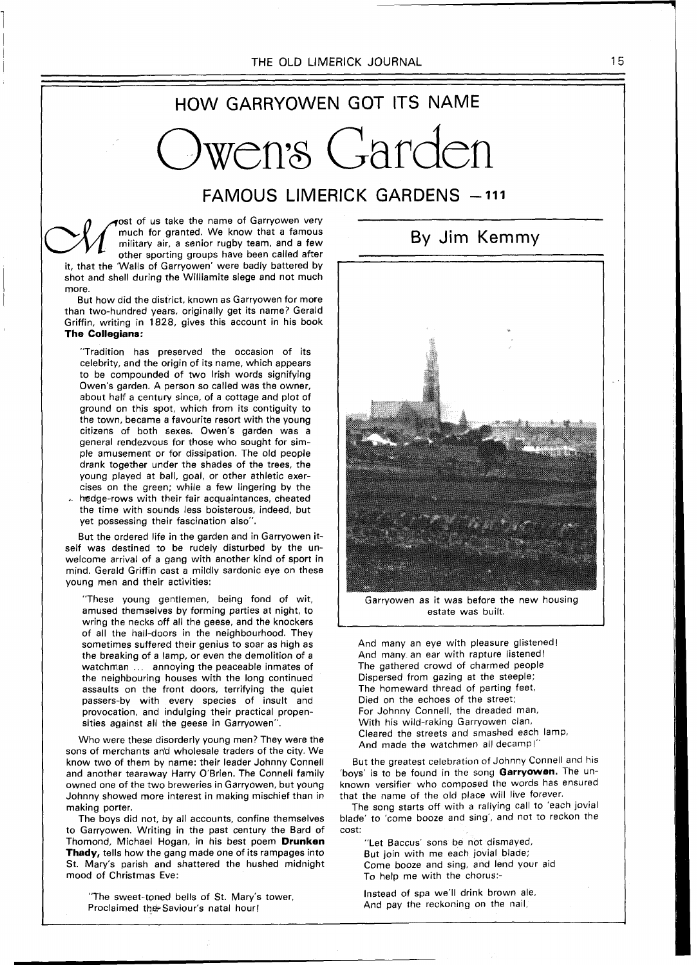## HOW GARRYOWEN GOT ITS NAME

wen<sup>.</sup>s Garden

## FAMOUS LIMERICK GARDENS - 111

ost of us take the name of Garryowen very much for granted. We know that a famous military air, a senior rugby team, and a few other sporting groups have been called after it, that the 'Walls of Garryowen' were badly battered by shot and shell during the Williamite siege and not much more.

But how did the district, known as Garryowen for more than two-hundred years, originally get its name? Gerald Griffin, writing in 1828, gives this account in his book **The Collegians:** 

"Tradition has preserved the occasion of its celebrity, and the origin of its name, which appears to be compounded of two Irish words signifying Owen's garden. A person so called was the owner, about half a century since, of a cottage and plot of ground on this spot, which from its contiguity to the town, became a favourite resort with the young citizens of both sexes. Owen's garden was a general rendezvous for those who sought for simple amusement or for dissipation. The old people drank together under the shades of the trees, the young played at ball, goal, or other athletic exercises on the green; while a few lingering by the hedge-rows with their fair acquaintances, cheated the time with sounds less boisterous, indeed, but yet possessing their fascination also".

But the ordered life in the garden and in Garryowen itself was destined to be rudely disturbed by the unwelcome arrival of a gang with another kind of sport in mind. Gerald Griffin cast a mildly sardonic eye on these young men and their activities:

"These young gentlemen, being fond of wit, amused themselves by forming parties at night, to wring the necks off all the geese, and the knockers of all the hall-doors in the neighbourhood. They sometimes suffered their genius to soar as high as the breaking of a lamp, or even the demolition of a watchman ... annoying the peaceable inmates of the neighbouring houses with the long continued assaults on the front doors, terrifying the quiet passers-by with every species of insult and provocation, and indulging their practical propensities against all the geese in Garryowen".

Who were these disorderly young men? They were the sons of merchants an'd wholesale traders of the city. We know two of them by name: their leader Johnny Connell and another tearaway Harry O'Brien. The Connell family owned one of the two breweries in Garryowen, but young Johnny showed more interest in making mischief than in making porter.

The boys did not, by all accounts, confine themselves to Garryowen. Writing in the past century the Bard of Thomond, Michael Hogan, in his best poem **Drunken Thady,** tells how the gang made one of its rampages into St. Mary's parish and shattered the hushed midnight mood of Christmas Eve:

"The sweet-toned bells of St. Mary's tower, Proclaimed the Saviour's natal hour!

Garryowen as it was before the new housing estate was built.

And many an eye with pleasure glistened! And many. an ear with rapture listened! The gathered crowd of charmed people Dispersed from gazing at the steeple; The homeward thread of parting feet, Died on the echoes of the street; For Johnny Connell, the dreaded man, With his wild-raking Garryowen clan, Cleared the streets and smashed each lamp, And made the watchmen all decamp!"

But the greatest celebration of Johnny Connell and his 'boys' is to be found in the song **Garryowen.** The unknown versifier who composed the words has ensured that the name of the old place will live forever.

The song starts off with a rallying call to 'each jovial blade' to 'come booze and sing', and not to reckon the cost:

"Let Baccus' sons be not dismayed, But join with me each jovial blade; Come booze and sing, and lend your aid To help me with the chorus:-

Instead of spa we'll drink brown ale, And pay the reckoning on the nail,

By Jim Kemmy